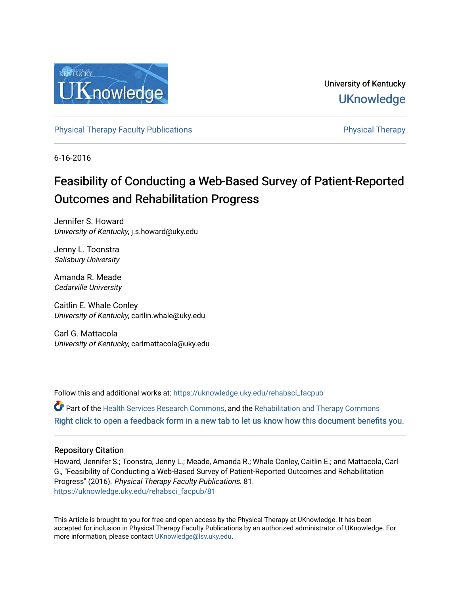

University of Kentucky **UKnowledge** 

[Physical Therapy Faculty Publications](https://uknowledge.uky.edu/rehabsci_facpub) **Physical Therapy** Physical Therapy

6-16-2016

# Feasibility of Conducting a Web-Based Survey of Patient-Reported Outcomes and Rehabilitation Progress

Jennifer S. Howard University of Kentucky, j.s.howard@uky.edu

Jenny L. Toonstra Salisbury University

Amanda R. Meade Cedarville University

Caitlin E. Whale Conley University of Kentucky, caitlin.whale@uky.edu

Carl G. Mattacola University of Kentucky, carlmattacola@uky.edu

Follow this and additional works at: [https://uknowledge.uky.edu/rehabsci\\_facpub](https://uknowledge.uky.edu/rehabsci_facpub?utm_source=uknowledge.uky.edu%2Frehabsci_facpub%2F81&utm_medium=PDF&utm_campaign=PDFCoverPages) 

Part of the [Health Services Research Commons,](http://network.bepress.com/hgg/discipline/816?utm_source=uknowledge.uky.edu%2Frehabsci_facpub%2F81&utm_medium=PDF&utm_campaign=PDFCoverPages) and the [Rehabilitation and Therapy Commons](http://network.bepress.com/hgg/discipline/749?utm_source=uknowledge.uky.edu%2Frehabsci_facpub%2F81&utm_medium=PDF&utm_campaign=PDFCoverPages)  [Right click to open a feedback form in a new tab to let us know how this document benefits you.](https://uky.az1.qualtrics.com/jfe/form/SV_9mq8fx2GnONRfz7)

### Repository Citation

Howard, Jennifer S.; Toonstra, Jenny L.; Meade, Amanda R.; Whale Conley, Caitlin E.; and Mattacola, Carl G., "Feasibility of Conducting a Web-Based Survey of Patient-Reported Outcomes and Rehabilitation Progress" (2016). Physical Therapy Faculty Publications. 81. [https://uknowledge.uky.edu/rehabsci\\_facpub/81](https://uknowledge.uky.edu/rehabsci_facpub/81?utm_source=uknowledge.uky.edu%2Frehabsci_facpub%2F81&utm_medium=PDF&utm_campaign=PDFCoverPages)

This Article is brought to you for free and open access by the Physical Therapy at UKnowledge. It has been accepted for inclusion in Physical Therapy Faculty Publications by an authorized administrator of UKnowledge. For more information, please contact [UKnowledge@lsv.uky.edu](mailto:UKnowledge@lsv.uky.edu).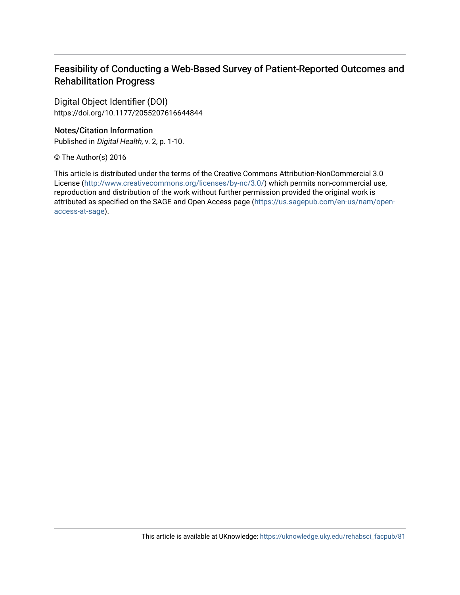## Feasibility of Conducting a Web-Based Survey of Patient-Reported Outcomes and Rehabilitation Progress

Digital Object Identifier (DOI) https://doi.org/10.1177/2055207616644844

## Notes/Citation Information

Published in Digital Health, v. 2, p. 1-10.

© The Author(s) 2016

This article is distributed under the terms of the Creative Commons Attribution-NonCommercial 3.0 License [\(http://www.creativecommons.org/licenses/by-nc/3.0/\)](https://creativecommons.org/licenses/by-nc/3.0/) which permits non-commercial use, reproduction and distribution of the work without further permission provided the original work is attributed as specified on the SAGE and Open Access page ([https://us.sagepub.com/en-us/nam/open](https://us.sagepub.com/en-us/nam/open-access-at-sage)[access-at-sage](https://us.sagepub.com/en-us/nam/open-access-at-sage)).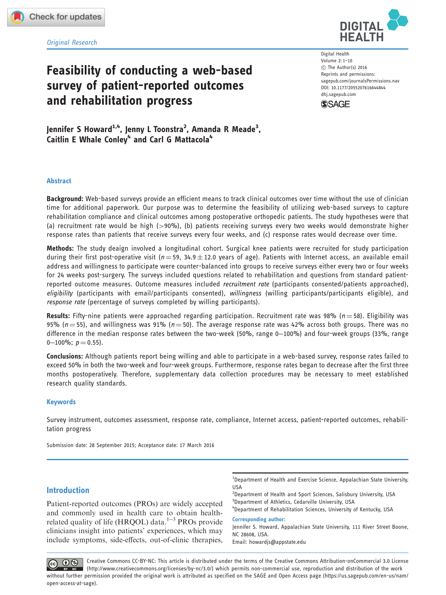Original Research **HEALTH**

## Feasibility of conducting a web-based survey of patient-reported outcomes and rehabilitation progress

Digital Health Volume 2: 1–10 C The Author(s) 2016 Reprints and permissions: sagepub.com/journalsPermissions.nav DOI: 10.1177/2055207616644844 dhj.sagepub.com

**DIGITAL**



Jennifer S Howard<sup>1,4</sup>, Jenny L Toonstra<sup>2</sup>, Amanda R Meade<sup>3</sup>, Caitlin E Whale Conley<sup>4</sup> and Carl G Mattacola<sup>4</sup>

#### Abstract

Background: Web-based surveys provide an efficient means to track clinical outcomes over time without the use of clinician time for additional paperwork. Our purpose was to determine the feasibility of utilizing web-based surveys to capture rehabilitation compliance and clinical outcomes among postoperative orthopedic patients. The study hypotheses were that (a) recruitment rate would be high (>90%), (b) patients receiving surveys every two weeks would demonstrate higher response rates than patients that receive surveys every four weeks, and (c) response rates would decrease over time.

Methods: The study deaign involved a longitudinal cohort. Surgical knee patients were recruited for study participation during their first post-operative visit ( $n$   $=$  59, 34.9  $\pm$  12.0 years of age). Patients with Internet access, an available email address and willingness to participate were counter-balanced into groups to receive surveys either every two or four weeks for 24 weeks post-surgery. The surveys included questions related to rehabilitation and questions from standard patientreported outcome measures. Outcome measures included *recruitment rate* (participants consented/patients approached), eligibility (participants with email/participants consented), willingness (willing participants/participants eligible), and response rate (percentage of surveys completed by willing participants).

Results: Fifty-nine patients were approached regarding participation. Recruitment rate was 98% ( $n = 58$ ). Eligibility was 95% ( $n = 55$ ), and willingness was 91% ( $n = 50$ ). The average response rate was 42% across both groups. There was no difference in the median response rates between the two-week (50%, range 0–100%) and four-week groups (33%, range 0–100%;  $p = 0.55$ ).

Conclusions: Although patients report being willing and able to participate in a web-based survey, response rates failed to exceed 50% in both the two-week and four-week groups. Furthermore, response rates began to decrease after the first three months postoperatively. Therefore, supplementary data collection procedures may be necessary to meet established research quality standards.

#### Keywords

Survey instrument, outcomes assessment, response rate, compliance, Internet access, patient-reported outcomes, rehabilitation progress

Submission date: 28 September 2015; Acceptance date: 17 March 2016

#### Introduction

Patient-reported outcomes (PROs) are widely accepted and commonly used in health care to obtain healthrelated quality of life (HRQOL) data.<sup>1-3</sup> PROs provide clinicians insight into patients' experiences, which may include symptoms, side-effects, out-of-clinic therapies,

<sup>1</sup>Department of Health and Exercise Science, Appalachian State University, USA

<sup>2</sup>Department of Health and Sport Sciences, Salisbury University, USA <sup>3</sup>Department of Athletics, Cedarville University, USA

4 Department of Rehabilitation Sciences, University of Kentucky, USA Corresponding author:

Jennifer S. Howard, Appalachian State University, 111 River Street Boone, NC 28608, USA.

Email: howardjs@appstate.edu

Creative Commons CC-BY-NC: This article is distributed under the terms of the Creative Commons Attribution-onCommercial 3.0 License  $\circledcirc$   $\circledcirc$ (http://www.creativecommons.org/licenses/by-nc/3.0/) which permits non-commercial use, reproduction and distribution of the work without further permission provided the original work is attributed as specified on the SAGE and Open Access page (https://us.sagepub.com/en-us/nam/ open-access-at-sage).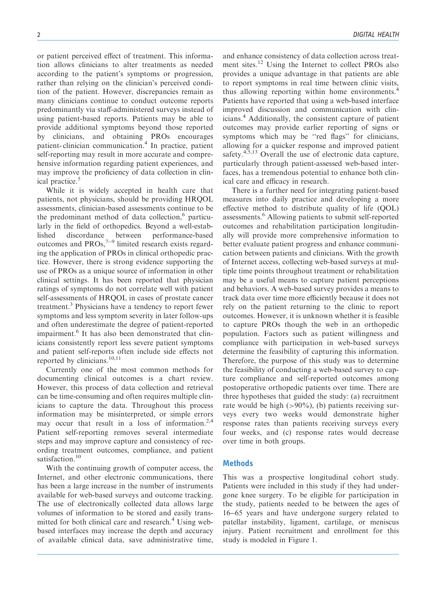or patient perceived effect of treatment. This information allows clinicians to alter treatments as needed according to the patient's symptoms or progression, rather than relying on the clinician's perceived condition of the patient. However, discrepancies remain as many clinicians continue to conduct outcome reports predominantly via staff-administered surveys instead of using patient-based reports. Patients may be able to provide additional symptoms beyond those reported by clinicians, and obtaining PROs encourages patient- clinician communication.<sup>4</sup> In practice, patient self-reporting may result in more accurate and comprehensive information regarding patient experiences, and may improve the proficiency of data collection in clinical practice.<sup>5</sup>

While it is widely accepted in health care that patients, not physicians, should be providing HRQOL assessments, clinician-based assessments continue to be the predominant method of data collection, $6$  particularly in the field of orthopedics. Beyond a well-established discordance between performance-based outcomes and  $PROs$ ,  $7-9$  limited research exists regarding the application of PROs in clinical orthopedic practice. However, there is strong evidence supporting the use of PROs as a unique source of information in other clinical settings. It has been reported that physician ratings of symptoms do not correlate well with patient self-assessments of HRQOL in cases of prostate cancer treatment.<sup>3</sup> Physicians have a tendency to report fewer symptoms and less symptom severity in later follow-ups and often underestimate the degree of patient-reported impairment.<sup>6</sup> It has also been demonstrated that clinicians consistently report less severe patient symptoms and patient self-reports often include side effects not reported by clinicians.<sup>10,11</sup>

Currently one of the most common methods for documenting clinical outcomes is a chart review. However, this process of data collection and retrieval can be time-consuming and often requires multiple clinicians to capture the data. Throughout this process information may be misinterpreted, or simple errors may occur that result in a loss of information. $2,4$ Patient self-reporting removes several intermediate steps and may improve capture and consistency of recording treatment outcomes, compliance, and patient satisfaction.<sup>10</sup>

With the continuing growth of computer access, the Internet, and other electronic communications, there has been a large increase in the number of instruments available for web-based surveys and outcome tracking. The use of electronically collected data allows large volumes of information to be stored and easily transmitted for both clinical care and research.<sup>4</sup> Using webbased interfaces may increase the depth and accuracy of available clinical data, save administrative time,

and enhance consistency of data collection across treatment sites.<sup>12</sup> Using the Internet to collect PROs also provides a unique advantage in that patients are able to report symptoms in real time between clinic visits, thus allowing reporting within home environments.<sup>4</sup> Patients have reported that using a web-based interface improved discussion and communication with clinicians.<sup>4</sup> Additionally, the consistent capture of patient outcomes may provide earlier reporting of signs or symptoms which may be "red flags" for clinicians, allowing for a quicker response and improved patient safety. $4,5,13$  Overall the use of electronic data capture, particularly through patient-assessed web-based interfaces, has a tremendous potential to enhance both clinical care and efficacy in research.

There is a further need for integrating patient-based measures into daily practice and developing a more effective method to distribute quality of life (QOL) assessments.<sup>6</sup> Allowing patients to submit self-reported outcomes and rehabilitation participation longitudinally will provide more comprehensive information to better evaluate patient progress and enhance communication between patients and clinicians. With the growth of Internet access, collecting web-based surveys at multiple time points throughout treatment or rehabilitation may be a useful means to capture patient perceptions and behaviors. A web-based survey provides a means to track data over time more efficiently because it does not rely on the patient returning to the clinic to report outcomes. However, it is unknown whether it is feasible to capture PROs though the web in an orthopedic population. Factors such as patient willingness and compliance with participation in web-based surveys determine the feasibility of capturing this information. Therefore, the purpose of this study was to determine the feasibility of conducting a web-based survey to capture compliance and self-reported outcomes among postoperative orthopedic patients over time. There are three hypotheses that guided the study: (a) recruitment rate would be high  $(>90\%)$ , (b) patients receiving surveys every two weeks would demonstrate higher response rates than patients receiving surveys every four weeks, and (c) response rates would decrease over time in both groups.

#### **Methods**

This was a prospective longitudinal cohort study. Patients were included in this study if they had undergone knee surgery. To be eligible for participation in the study, patients needed to be between the ages of 16-65 years and have undergone surgery related to patellar instability, ligament, cartilage, or meniscus injury. Patient recruitment and enrollment for this study is modeled in Figure 1.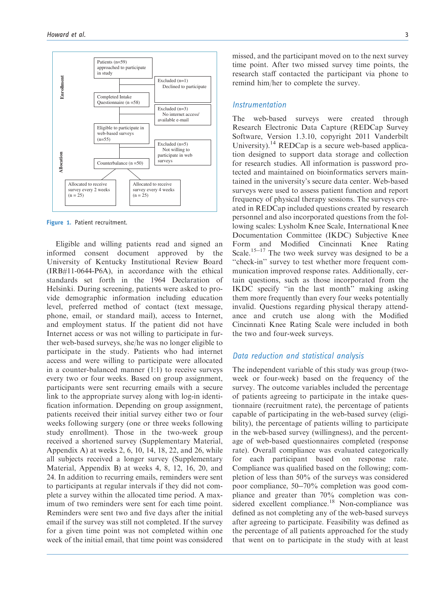

Figure 1. Patient recruitment.

Eligible and willing patients read and signed an informed consent document approved by the University of Kentucky Institutional Review Board (IRB#11-0644-P6A), in accordance with the ethical standards set forth in the 1964 Declaration of Helsinki. During screening, patients were asked to provide demographic information including education level, preferred method of contact (text message, phone, email, or standard mail), access to Internet, and employment status. If the patient did not have Internet access or was not willing to participate in further web-based surveys, she/he was no longer eligible to participate in the study. Patients who had internet access and were willing to participate were allocated in a counter-balanced manner (1:1) to receive surveys every two or four weeks. Based on group assignment, participants were sent recurring emails with a secure link to the appropriate survey along with log-in identification information. Depending on group assignment, patients received their initial survey either two or four weeks following surgery (one or three weeks following study enrollment). Those in the two-week group received a shortened survey (Supplementary Material, Appendix A) at weeks 2, 6, 10, 14, 18, 22, and 26, while all subjects received a longer survey (Supplementary Material, Appendix B) at weeks 4, 8, 12, 16, 20, and 24. In addition to recurring emails, reminders were sent to participants at regular intervals if they did not complete a survey within the allocated time period. A maximum of two reminders were sent for each time point. Reminders were sent two and five days after the initial email if the survey was still not completed. If the survey for a given time point was not completed within one week of the initial email, that time point was considered missed, and the participant moved on to the next survey time point. After two missed survey time points, the research staff contacted the participant via phone to remind him/her to complete the survey.

#### Instrumentation

The web-based surveys were created through Research Electronic Data Capture (REDCap Survey Software, Version 1.3.10, copyright 2011 Vanderbilt University).<sup>14</sup> REDCap is a secure web-based application designed to support data storage and collection for research studies. All information is password protected and maintained on bioinformatics servers maintained in the university's secure data center. Web-based surveys were used to assess patient function and report frequency of physical therapy sessions. The surveys created in REDCap included questions created by research personnel and also incorporated questions from the following scales: Lysholm Knee Scale, International Knee Documentation Committee (IKDC) Subjective Knee Form and Modified Cincinnati Knee Rating Scale.<sup>15-17</sup> The two week survey was designed to be a ''check-in'' survey to test whether more frequent communication improved response rates. Additionally, certain questions, such as those incorporated from the IKDC specify ''in the last month'' making asking them more frequently than every four weeks potentially invalid. Questions regarding physical therapy attendance and crutch use along with the Modified Cincinnati Knee Rating Scale were included in both the two and four-week surveys.

### Data reduction and statistical analysis

The independent variable of this study was group (twoweek or four-week) based on the frequency of the survey. The outcome variables included the percentage of patients agreeing to participate in the intake questionnaire (recruitment rate), the percentage of patients capable of participating in the web-based survey (eligibility), the percentage of patients willing to participate in the web-based survey (willingness), and the percentage of web-based questionnaires completed (response rate). Overall compliance was evaluated categorically for each participant based on response rate. Compliance was qualified based on the following; completion of less than 50% of the surveys was considered poor compliance, 50-70% completion was good compliance and greater than 70% completion was considered excellent compliance.<sup>18</sup> Non-compliance was defined as not completing any of the web-based surveys after agreeing to participate. Feasibility was defined as the percentage of all patients approached for the study that went on to participate in the study with at least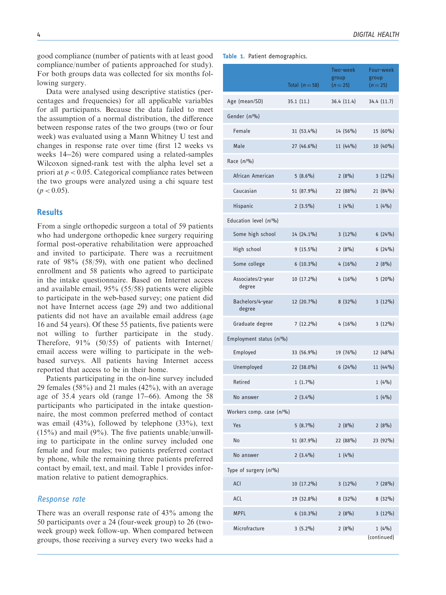good compliance (number of patients with at least good compliance/number of patients approached for study). For both groups data was collected for six months following surgery.

Data were analysed using descriptive statistics (percentages and frequencies) for all applicable variables for all participants. Because the data failed to meet the assumption of a normal distribution, the difference between response rates of the two groups (two or four week) was evaluated using a Mann Whitney U test and changes in response rate over time (first 12 weeks vs weeks 14-26) were compared using a related-samples Wilcoxon signed-rank test with the alpha level set a priori at  $p < 0.05$ . Categorical compliance rates between the two groups were analyzed using a chi square test  $(p < 0.05)$ .

#### **Results**

From a single orthopedic surgeon a total of 59 patients who had undergone orthopedic knee surgery requiring formal post-operative rehabilitation were approached and invited to participate. There was a recruitment rate of 98% (58/59), with one patient who declined enrollment and 58 patients who agreed to participate in the intake questionnaire. Based on Internet access and available email, 95% (55/58) patients were eligible to participate in the web-based survey; one patient did not have Internet access (age 29) and two additional patients did not have an available email address (age 16 and 54 years). Of these 55 patients, five patients were not willing to further participate in the study. Therefore, 91% (50/55) of patients with Internet/ email access were willing to participate in the webbased surveys. All patients having Internet access reported that access to be in their home.

Patients participating in the on-line survey included 29 females (58%) and 21 males (42%), with an average age of 35.4 years old (range 17-66). Among the 58 participants who participated in the intake questionnaire, the most common preferred method of contact was email  $(43\%)$ , followed by telephone  $(33\%)$ , text  $(15%)$  and mail  $(9%)$ . The five patients unable/unwilling to participate in the online survey included one female and four males; two patients preferred contact by phone, while the remaining three patients preferred contact by email, text, and mail. Table 1 provides information relative to patient demographics.

#### Response rate

There was an overall response rate of 43% among the 50 participants over a 24 (four-week group) to 26 (twoweek group) week follow-up. When compared between groups, those receiving a survey every two weeks had a

#### 4 DIGITAL HEALTH

Table 1. Patient demographics.

|                             | Total $(n=58)$ | Two-week<br>group<br>$(n=25)$ | Four-week<br>group<br>$(n=25)$ |  |  |
|-----------------------------|----------------|-------------------------------|--------------------------------|--|--|
| Age (mean/SD)               | 35.1(11.)      | 36.4(11.4)                    | 34.4 (11.7)                    |  |  |
| Gender (n/%)                |                |                               |                                |  |  |
| Female                      | 31 (53.4%)     | 14 (56%)                      | 15 (60%)                       |  |  |
| Male                        | $27(46.6\%)$   | $11(44\%)$                    | 10 (40%)                       |  |  |
| Race (n/%)                  |                |                               |                                |  |  |
| African American            | $5(8.6\%)$     | 2(8%)                         | $3(12\%)$                      |  |  |
| Caucasian                   | 51 (87.9%)     | 22 (88%)                      | 21 (84%)                       |  |  |
| Hispanic                    | $2(3.5\%)$     | 1(4%)                         | 1(4%)                          |  |  |
| Education level (n/%)       |                |                               |                                |  |  |
| Some high school            | 14 (24.1%)     | $3(12\%)$                     | $6(24\%)$                      |  |  |
| High school                 | $9(15.5\%)$    | 2(8%)                         | $6(24\%)$                      |  |  |
| Some college                | $6(10.3\%)$    | $4(16\%)$                     | 2(8%)                          |  |  |
| Associates/2-year<br>degree | 10 (17.2%)     | $4(16\%)$                     | $5(20\%)$                      |  |  |
| Bachelors/4-year<br>degree  | 12 (20.7%)     | $8(32\%)$                     | $3(12\%)$                      |  |  |
| Graduate degree             | $7(12.2\%)$    | $4(16\%)$                     | $3(12\%)$                      |  |  |
| Employment status (n/%)     |                |                               |                                |  |  |
| Employed                    | 33 (56.9%)     | 19 (76%)                      | 12 (48%)                       |  |  |
| Unemployed                  | 22 (38.0%)     | $6(24\%)$                     | 11 (44%)                       |  |  |
| Retired                     | $1(1.7\%)$     |                               | 1(4%)                          |  |  |
| No answer                   | $2(3.4\%)$     |                               | 1(4%)                          |  |  |
| Workers comp. case (n/%)    |                |                               |                                |  |  |
| Yes                         | $5(8.7\%)$     | 2(8%)                         | 2(8%)                          |  |  |
| No                          | 51 (87.9%)     | 22 (88%)                      | 23 (92%)                       |  |  |
| No answer                   | $2(3.4\%)$     | 1(4%)                         |                                |  |  |
| Type of surgery (n/%)       |                |                               |                                |  |  |
| ACI                         | 10 (17.2%)     | $3(12\%)$                     | 7(28%)                         |  |  |
| ACL                         | 19 (32.8%)     | $8(32\%)$                     | $8(32\%)$                      |  |  |
| <b>MPFL</b>                 | $6(10.3\%)$    | 2(8%)                         | $3(12\%)$                      |  |  |
| Microfracture               | $3(5.2\%)$     | 2(8%)                         | 1(4%)<br>(continued)           |  |  |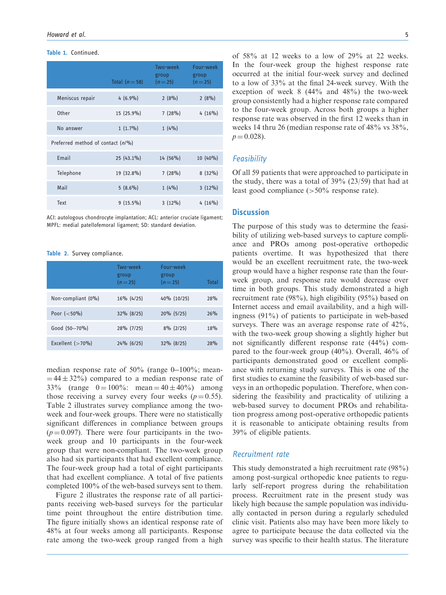|  | Table 1. | Continued. |
|--|----------|------------|
|--|----------|------------|

|                                   | Total $(n=58)$ | Two-week<br>group<br>$(n=25)$ | Four-week<br>group<br>$(n=25)$ |  |  |
|-----------------------------------|----------------|-------------------------------|--------------------------------|--|--|
| Meniscus repair                   | $4(6.9\%)$     | 2(8%)                         | 2(8%)                          |  |  |
| Other                             | 15 (25.9%)     | 7(28%)                        | $4(16\%)$                      |  |  |
| No answer                         | $1(1.7\%)$     | $1(4\%)$                      |                                |  |  |
| Preferred method of contact (n/%) |                |                               |                                |  |  |
| Email                             | $25(43.1\%)$   | $14(56\%)$                    | 10 (40%)                       |  |  |
| Telephone                         | 19 (32.8%)     | 7(28%)                        | $8(32\%)$                      |  |  |
| Mail                              | $5(8.6\%)$     | $1(4\%)$                      | $3(12\%)$                      |  |  |
| Text                              | $9(15.5\%)$    | $3(12\%)$                     | $4(16\%)$                      |  |  |

ACI: autologous chondrocyte implantation; ACL: anterior cruciate ligament; MPFL: medial patellofemoral ligament; SD: standard deviation.

#### Table 2. Survey compliance.

|                     | Two-week<br>group<br>$(n=25)$ | Four-week<br>group<br>$(n=25)$ | Total |
|---------------------|-------------------------------|--------------------------------|-------|
| Non-compliant (0%)  | $16\%$ (4/25)                 | 40% (10/25)                    | 28%   |
| Poor $(<50\%)$      | 32% (8/25)                    | $20\%$ (5/25)                  | 26%   |
| Good (50-70%)       | 28% (7/25)                    | $8\%$ (2/25)                   | 18%   |
| Excellent $(>70\%)$ | $24\%$ (6/25)                 | $32\%$ (8/25)                  | 28%   |

median response rate of 50% (range 0-100%; mean- $=$  44  $\pm$  32%) compared to a median response rate of 33% (range  $0 = 100\%$ : mean =  $40 \pm 40\%$ ) among those receiving a survey every four weeks ( $p = 0.55$ ). Table 2 illustrates survey compliance among the twoweek and four-week groups. There were no statistically significant differences in compliance between groups  $(p = 0.097)$ . There were four participants in the twoweek group and 10 participants in the four-week group that were non-compliant. The two-week group also had six participants that had excellent compliance. The four-week group had a total of eight participants that had excellent compliance. A total of five patients completed 100% of the web-based surveys sent to them.

Figure 2 illustrates the response rate of all participants receiving web-based surveys for the particular time point throughout the entire distribution time. The figure initially shows an identical response rate of 48% at four weeks among all participants. Response rate among the two-week group ranged from a high of 58% at 12 weeks to a low of 29% at 22 weeks. In the four-week group the highest response rate occurred at the initial four-week survey and declined to a low of 33% at the final 24-week survey. With the exception of week 8 (44% and 48%) the two-week group consistently had a higher response rate compared to the four-week group. Across both groups a higher response rate was observed in the first 12 weeks than in weeks 14 thru 26 (median response rate of 48% vs 38%,  $p = 0.028$ .

#### **Feasibility**

Of all 59 patients that were approached to participate in the study, there was a total of 39% (23/59) that had at least good compliance (>50% response rate).

#### **Discussion**

The purpose of this study was to determine the feasibility of utilizing web-based surveys to capture compliance and PROs among post-operative orthopedic patients overtime. It was hypothesized that there would be an excellent recruitment rate, the two-week group would have a higher response rate than the fourweek group, and response rate would decrease over time in both groups. This study demonstrated a high recruitment rate (98%), high eligibility (95%) based on Internet access and email availability, and a high willingness (91%) of patients to participate in web-based surveys. There was an average response rate of 42%, with the two-week group showing a slightly higher but not significantly different response rate (44%) compared to the four-week group (40%). Overall, 46% of participants demonstrated good or excellent compliance with returning study surveys. This is one of the first studies to examine the feasibility of web-based surveys in an orthopedic population. Therefore, when considering the feasibility and practicality of utilizing a web-based survey to document PROs and rehabilitation progress among post-operative orthopedic patients it is reasonable to anticipate obtaining results from 39% of eligible patients.

#### Recruitment rate

This study demonstrated a high recruitment rate (98%) among post-surgical orthopedic knee patients to regularly self-report progress during the rehabilitation process. Recruitment rate in the present study was likely high because the sample population was individually contacted in person during a regularly scheduled clinic visit. Patients also may have been more likely to agree to participate because the data collected via the survey was specific to their health status. The literature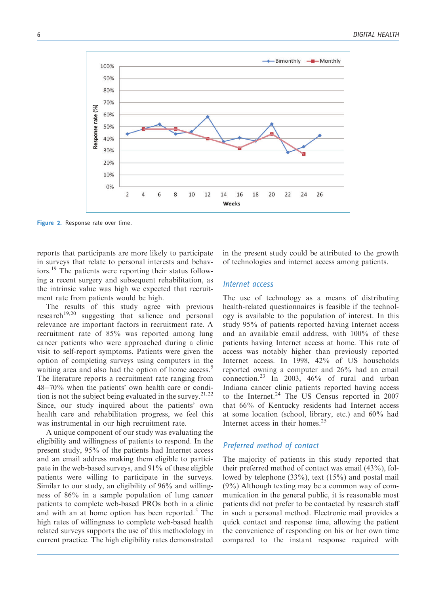

Figure 2. Response rate over time.

reports that participants are more likely to participate in surveys that relate to personal interests and behaviors.<sup>19</sup> The patients were reporting their status following a recent surgery and subsequent rehabilitation, as the intrinsic value was high we expected that recruitment rate from patients would be high.

The results of this study agree with previous research $19,20$  suggesting that salience and personal relevance are important factors in recruitment rate. A recruitment rate of 85% was reported among lung cancer patients who were approached during a clinic visit to self-report symptoms. Patients were given the option of completing surveys using computers in the waiting area and also had the option of home access.<sup>5</sup> The literature reports a recruitment rate ranging from 48-70% when the patients' own health care or condition is not the subject being evaluated in the survey.<sup>21,22</sup> Since, our study inquired about the patients' own health care and rehabilitation progress, we feel this was instrumental in our high recruitment rate.

A unique component of our study was evaluating the eligibility and willingness of patients to respond. In the present study, 95% of the patients had Internet access and an email address making them eligible to participate in the web-based surveys, and 91% of these eligible patients were willing to participate in the surveys. Similar to our study, an eligibility of 96% and willingness of 86% in a sample population of lung cancer patients to complete web-based PROs both in a clinic and with an at home option has been reported. $5$  The high rates of willingness to complete web-based health related surveys supports the use of this methodology in current practice. The high eligibility rates demonstrated in the present study could be attributed to the growth of technologies and internet access among patients.

#### Internet access

The use of technology as a means of distributing health-related questionnaires is feasible if the technology is available to the population of interest. In this study 95% of patients reported having Internet access and an available email address, with 100% of these patients having Internet access at home. This rate of access was notably higher than previously reported Internet access. In 1998, 42% of US households reported owning a computer and 26% had an email connection.<sup>23</sup> In 2003, 46% of rural and urban Indiana cancer clinic patients reported having access to the Internet.<sup>24</sup> The US Census reported in 2007 that 66% of Kentucky residents had Internet access at some location (school, library, etc.) and 60% had Internet access in their homes. $25$ 

#### Preferred method of contact

The majority of patients in this study reported that their preferred method of contact was email (43%), followed by telephone (33%), text (15%) and postal mail (9%) Although texting may be a common way of communication in the general public, it is reasonable most patients did not prefer to be contacted by research staff in such a personal method. Electronic mail provides a quick contact and response time, allowing the patient the convenience of responding on his or her own time compared to the instant response required with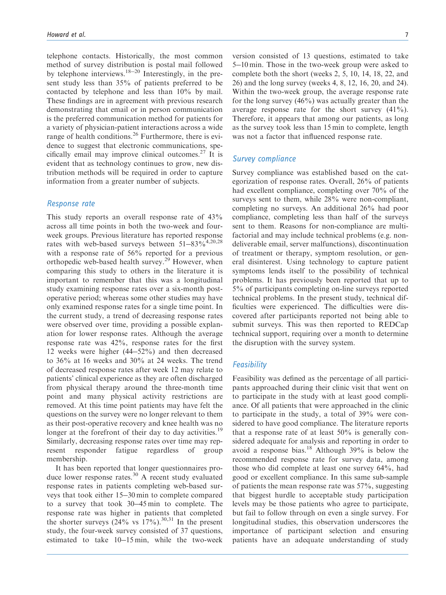telephone contacts. Historically, the most common method of survey distribution is postal mail followed by telephone interviews.<sup>18-20</sup> Interestingly, in the present study less than 35% of patients preferred to be contacted by telephone and less than 10% by mail. These findings are in agreement with previous research demonstrating that email or in person communication is the preferred communication method for patients for a variety of physician-patient interactions across a wide range of health conditions.<sup>26</sup> Furthermore, there is evidence to suggest that electronic communications, specifically email may improve clinical outcomes. $27$  It is evident that as technology continues to grow, new distribution methods will be required in order to capture information from a greater number of subjects.

#### Response rate

This study reports an overall response rate of 43% across all time points in both the two-week and fourweek groups. Previous literature has reported response rates with web-based surveys between  $51-83\%^{4,20,28}$ with a response rate of 56% reported for a previous orthopedic web-based health survey.<sup>29</sup> However, when comparing this study to others in the literature it is important to remember that this was a longitudinal study examining response rates over a six-month postoperative period; whereas some other studies may have only examined response rates for a single time point. In the current study, a trend of decreasing response rates were observed over time, providing a possible explanation for lower response rates. Although the average response rate was 42%, response rates for the first 12 weeks were higher (44-52%) and then decreased to 36% at 16 weeks and 30% at 24 weeks. The trend of decreased response rates after week 12 may relate to patients' clinical experience as they are often discharged from physical therapy around the three-month time point and many physical activity restrictions are removed. At this time point patients may have felt the questions on the survey were no longer relevant to them as their post-operative recovery and knee health was no longer at the forefront of their day to day activities.<sup>19</sup> Similarly, decreasing response rates over time may represent responder fatigue regardless of group membership.

It has been reported that longer questionnaires produce lower response rates.<sup>30</sup> A recent study evaluated response rates in patients completing web-based surveys that took either 15-30 min to complete compared to a survey that took 30-45 min to complete. The response rate was higher in patients that completed the shorter surveys  $(24\% \text{ vs } 17\%)$ .<sup>30,31</sup> In the present study, the four-week survey consisted of 37 questions, estimated to take 10-15 min, while the two-week

version consisted of 13 questions, estimated to take 5-10 min. Those in the two-week group were asked to complete both the short (weeks 2, 5, 10, 14, 18, 22, and 26) and the long survey (weeks 4, 8, 12, 16, 20, and 24). Within the two-week group, the average response rate for the long survey  $(46\%)$  was actually greater than the average response rate for the short survey (41%). Therefore, it appears that among our patients, as long as the survey took less than 15 min to complete, length was not a factor that influenced response rate.

#### Survey compliance

Survey compliance was established based on the categorization of response rates. Overall, 26% of patients had excellent compliance, completing over 70% of the surveys sent to them, while  $28\%$  were non-compliant, completing no surveys. An additional 26% had poor compliance, completing less than half of the surveys sent to them. Reasons for non-compliance are multifactorial and may include technical problems (e.g. nondeliverable email, server malfunctions), discontinuation of treatment or therapy, symptom resolution, or general disinterest. Using technology to capture patient symptoms lends itself to the possibility of technical problems. It has previously been reported that up to 5% of participants completing on-line surveys reported technical problems. In the present study, technical difficulties were experienced. The difficulties were discovered after participants reported not being able to submit surveys. This was then reported to REDCap technical support, requiring over a month to determine the disruption with the survey system.

#### **Feasibility**

Feasibility was defined as the percentage of all participants approached during their clinic visit that went on to participate in the study with at least good compliance. Of all patients that were approached in the clinic to participate in the study, a total of 39% were considered to have good compliance. The literature reports that a response rate of at least 50% is generally considered adequate for analysis and reporting in order to avoid a response bias.<sup>18</sup> Although  $39\%$  is below the recommended response rate for survey data, among those who did complete at least one survey 64%, had good or excellent compliance. In this same sub-sample of patients the mean response rate was 57%, suggesting that biggest hurdle to acceptable study participation levels may be those patients who agree to participate, but fail to follow through on even a single survey. For longitudinal studies, this observation underscores the importance of participant selection and ensuring patients have an adequate understanding of study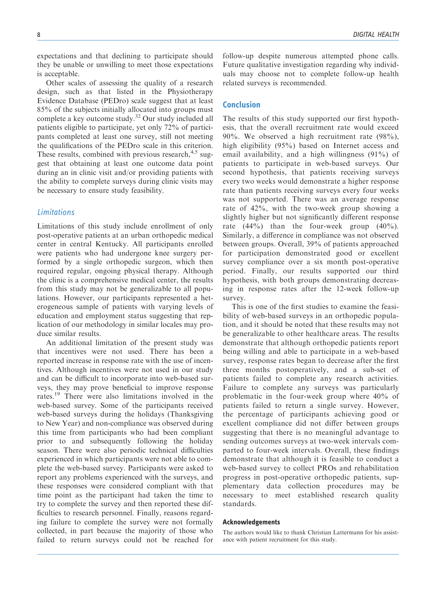expectations and that declining to participate should they be unable or unwilling to meet those expectations is acceptable.

Other scales of assessing the quality of a research design, such as that listed in the Physiotherapy Evidence Database (PEDro) scale suggest that at least 85% of the subjects initially allocated into groups must complete a key outcome study.<sup>32</sup> Our study included all patients eligible to participate, yet only 72% of participants completed at least one survey, still not meeting the qualifications of the PEDro scale in this criterion. These results, combined with previous research,  $4.5$  suggest that obtaining at least one outcome data point during an in clinic visit and/or providing patients with the ability to complete surveys during clinic visits may be necessary to ensure study feasibility.

#### Limitations

Limitations of this study include enrollment of only post-operative patients at an urban orthopedic medical center in central Kentucky. All participants enrolled were patients who had undergone knee surgery performed by a single orthopedic surgeon, which then required regular, ongoing physical therapy. Although the clinic is a comprehensive medical center, the results from this study may not be generalizable to all populations. However, our participants represented a heterogeneous sample of patients with varying levels of education and employment status suggesting that replication of our methodology in similar locales may produce similar results.

An additional limitation of the present study was that incentives were not used. There has been a reported increase in response rate with the use of incentives. Although incentives were not used in our study and can be difficult to incorporate into web-based surveys, they may prove beneficial to improve response rates.<sup>19</sup> There were also limitations involved in the web-based survey. Some of the participants received web-based surveys during the holidays (Thanksgiving to New Year) and non-compliance was observed during this time from participants who had been compliant prior to and subsequently following the holiday season. There were also periodic technical difficulties experienced in which participants were not able to complete the web-based survey. Participants were asked to report any problems experienced with the surveys, and these responses were considered compliant with that time point as the participant had taken the time to try to complete the survey and then reported these difficulties to research personnel. Finally, reasons regarding failure to complete the survey were not formally collected, in part because the majority of those who failed to return surveys could not be reached for follow-up despite numerous attempted phone calls. Future qualitative investigation regarding why individuals may choose not to complete follow-up health related surveys is recommended.

#### Conclusion

The results of this study supported our first hypothesis, that the overall recruitment rate would exceed 90%. We observed a high recruitment rate (98%), high eligibility (95%) based on Internet access and email availability, and a high willingness (91%) of patients to participate in web-based surveys. Our second hypothesis, that patients receiving surveys every two weeks would demonstrate a higher response rate than patients receiving surveys every four weeks was not supported. There was an average response rate of 42%, with the two-week group showing a slightly higher but not significantly different response rate  $(44\%)$  than the four-week group  $(40\%)$ . Similarly, a difference in compliance was not observed between groups. Overall, 39% of patients approached for participation demonstrated good or excellent survey compliance over a six month post-operative period. Finally, our results supported our third hypothesis, with both groups demonstrating decreasing in response rates after the 12-week follow-up survey.

This is one of the first studies to examine the feasibility of web-based surveys in an orthopedic population, and it should be noted that these results may not be generalizable to other healthcare areas. The results demonstrate that although orthopedic patients report being willing and able to participate in a web-based survey, response rates began to decrease after the first three months postoperatively, and a sub-set of patients failed to complete any research activities. Failure to complete any surveys was particularly problematic in the four-week group where 40% of patients failed to return a single survey. However, the percentage of participants achieving good or excellent compliance did not differ between groups suggesting that there is no meaningful advantage to sending outcomes surveys at two-week intervals comparted to four-week intervals. Overall, these findings demonstrate that although it is feasible to conduct a web-based survey to collect PROs and rehabilitation progress in post-operative orthopedic patients, supplementary data collection procedures may be necessary to meet established research quality standards.

#### Acknowledgements

The authors would like to thank Christian Lattermann for his assistance with patient recruitment for this study.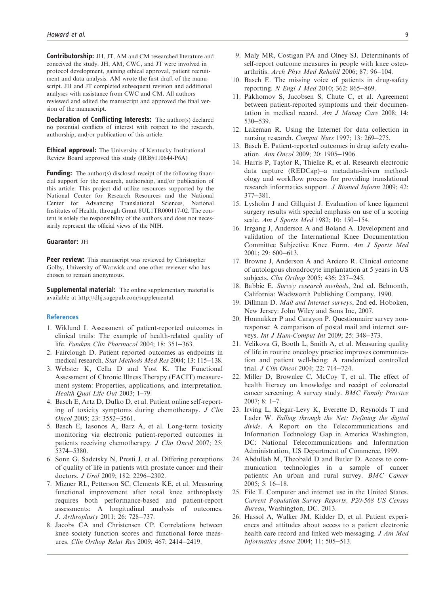Contributorship: JH, JT, AM and CM researched literature and conceived the study. JH, AM, CWC, and JT were involved in protocol development, gaining ethical approval, patient recruitment and data analysis. AM wrote the first draft of the manuscript. JH and JT completed subsequent revision and additional analyses with assistance from CWC and CM. All authors reviewed and edited the manuscript and approved the final version of the manuscript.

Declaration of Conflicting Interests: The author(s) declared no potential conflicts of interest with respect to the research, authorship, and/or publication of this article.

Ethical approval: The University of Kentucky Institutional Review Board approved this study (IRB#110644-P6A)

**Funding:** The author(s) disclosed receipt of the following financial support for the research, authorship, and/or publication of this article: This project did utilize resources supported by the National Center for Research Resources and the National Center for Advancing Translational Sciences, National Institutes of Health, through Grant 8UL1TR000117-02. The content is solely the responsibility of the authors and does not necessarily represent the official views of the NIH.

#### Guarantor: JH

**Peer review:** This manuscript was reviewed by Christopher Golby, University of Warwick and one other reviewer who has chosen to remain anonymous.

Supplemental material: The online supplementary material is available at http://dhj.sagepub.com/supplemental.

#### **References**

- 1. Wiklund I. Assessment of patient-reported outcomes in clinical trails: The example of health-related quality of life. Fundam Clin Pharmacol 2004; 18: 351-363.
- 2. Fairclough D. Patient reported outcomes as endpoints in medical research. Stat Methods Med Res 2004; 13: 115-138.
- 3. Webster K, Cella D and Yost K. The Functional Assessment of Chronic Illness Therapy (FACIT) measurement system: Properties, applications, and interpretation. Health Qual Life Out 2003; 1–79.
- 4. Basch E, Artz D, Dulko D, et al. Patient online self-reporting of toxicity symptoms during chemotherapy. J Clin Oncol 2005; 23: 3552-3561.
- 5. Basch E, Iasonos A, Barz A, et al. Long-term toxicity monitoring via electronic patient-reported outcomes in patients receiving chemotherapy. J Clin Oncol 2007; 25: 5374-5380.
- 6. Sonn G, Sadetsky N, Presti J, et al. Differing perceptions of quality of life in patients with prostate cancer and their doctors. J Urol 2009; 182: 2296-2302.
- 7. Mizner RL, Petterson SC, Clements KE, et al. Measuring functional improvement after total knee arthroplasty requires both performance-based and patient-report assessments: A longitudinal analysis of outcomes. J. Arthroplasty 2011; 26: 728-737.
- 8. Jacobs CA and Christensen CP. Correlations between knee society function scores and functional force measures. Clin Orthop Relat Res 2009; 467: 2414-2419.
- 9. Maly MR, Costigan PA and Olney SJ. Determinants of self-report outcome measures in people with knee osteoarthritis. Arch Phys Med Rehabil 2006; 87: 96-104.
- 10. Basch E. The missing voice of patients in drug-safety reporting. N Engl J Med 2010; 362: 865-869.
- 11. Pakhomov S, Jacobsen S, Chute C, et al. Agreement between patient-reported symptoms and their documentation in medical record. Am J Manag Care 2008; 14: 530-539.
- 12. Lakeman R. Using the Internet for data collection in nursing research. Comput Nurs 1997; 13: 269-275.
- 13. Basch E. Patient-reported outcomes in drug safety evaluation. Ann Oncol 2009; 20: 1905-1906.
- 14. Harris P, Taylor R, Thielke R, et al. Research electronic data capture (REDCap)-a metadata-driven methodology and workflow process for providing translational research informatics support. J Biomed Inform 2009; 42: 377-381.
- 15. Lysholm J and Gillquist J. Evaluation of knee ligament surgery results with special emphasis on use of a scoring scale. Am J Sports Med 1982; 10: 150-154.
- 16. Irrgang J, Anderson A and Boland A. Development and validation of the International Knee Documentation Committee Subjective Knee Form. Am J Sports Med 2001; 29: 600-613.
- 17. Browne J, Anderson A and Arciero R. Clinical outcome of autologous chondrocyte implantation at 5 years in US subjects. Clin Orthop 2005; 436: 237-245.
- 18. Babbie E. Survey research methods, 2nd ed. Belmonth, California: Wadsworth Publishing Company, 1990.
- 19. Dillman D. Mail and Internet surveys, 2nd ed. Hoboken, New Jersey: John Wiley and Sons Inc, 2007.
- 20. Honnakker P and Carayon P. Questionnaire survey nonresponse: A comparison of postal mail and internet surveys. Int J Hum-Comput Int 2009; 25: 348-373.
- 21. Velikova G, Booth L, Smith A, et al. Measuring quality of life in routine oncology practice improves communication and patient well-being: A randomized controlled trial. J Clin Oncol 2004; 22: 714-724.
- 22. Miller D, Brownlee C, McCoy T, et al. The effect of health literacy on knowledge and receipt of colorectal cancer screening: A survey study. BMC Family Practice 2007; 8: 1–7.
- 23. Irving L, Klegar-Levy K, Everette D, Reynolds T and Lader W. Falling through the Net: Defining the digital divide. A Report on the Telecommunications and Information Technology Gap in America Washington, DC: National Telecommunications and Information Administration, US Department of Commerce, 1999.
- 24. Abdullah M, Theobald D and Butler D. Access to communication technologies in a sample of cancer patients: An urban and rural survey. BMC Cancer 2005; 5: 16-18.
- 25. File T. Computer and internet use in the United States. Current Population Survey Reports, P20-568 US Census Bureau, Washington, DC. 2013.
- 26. Hassol A, Walker JM, Kidder D, et al. Patient experiences and attitudes about access to a patient electronic health care record and linked web messaging. J Am Med Informatics Assoc 2004; 11: 505-513.